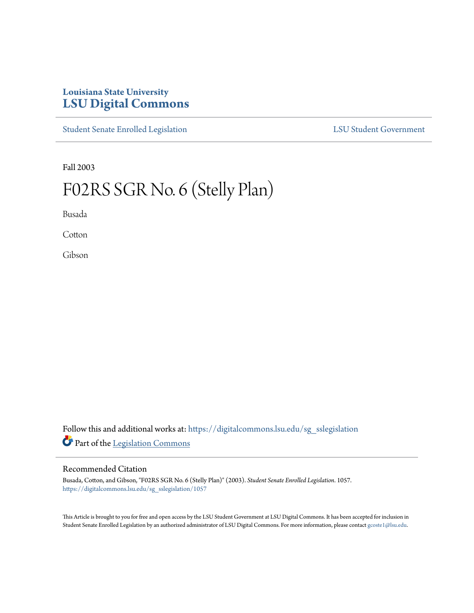# **Louisiana State University [LSU Digital Commons](https://digitalcommons.lsu.edu?utm_source=digitalcommons.lsu.edu%2Fsg_sslegislation%2F1057&utm_medium=PDF&utm_campaign=PDFCoverPages)**

[Student Senate Enrolled Legislation](https://digitalcommons.lsu.edu/sg_sslegislation?utm_source=digitalcommons.lsu.edu%2Fsg_sslegislation%2F1057&utm_medium=PDF&utm_campaign=PDFCoverPages) [LSU Student Government](https://digitalcommons.lsu.edu/sg?utm_source=digitalcommons.lsu.edu%2Fsg_sslegislation%2F1057&utm_medium=PDF&utm_campaign=PDFCoverPages)

Fall 2003

# F02RS SGR No. 6 (Stelly Plan)

Busada

**Cotton** 

Gibson

Follow this and additional works at: [https://digitalcommons.lsu.edu/sg\\_sslegislation](https://digitalcommons.lsu.edu/sg_sslegislation?utm_source=digitalcommons.lsu.edu%2Fsg_sslegislation%2F1057&utm_medium=PDF&utm_campaign=PDFCoverPages) Part of the [Legislation Commons](http://network.bepress.com/hgg/discipline/859?utm_source=digitalcommons.lsu.edu%2Fsg_sslegislation%2F1057&utm_medium=PDF&utm_campaign=PDFCoverPages)

### Recommended Citation

Busada, Cotton, and Gibson, "F02RS SGR No. 6 (Stelly Plan)" (2003). *Student Senate Enrolled Legislation*. 1057. [https://digitalcommons.lsu.edu/sg\\_sslegislation/1057](https://digitalcommons.lsu.edu/sg_sslegislation/1057?utm_source=digitalcommons.lsu.edu%2Fsg_sslegislation%2F1057&utm_medium=PDF&utm_campaign=PDFCoverPages)

This Article is brought to you for free and open access by the LSU Student Government at LSU Digital Commons. It has been accepted for inclusion in Student Senate Enrolled Legislation by an authorized administrator of LSU Digital Commons. For more information, please contact [gcoste1@lsu.edu.](mailto:gcoste1@lsu.edu)